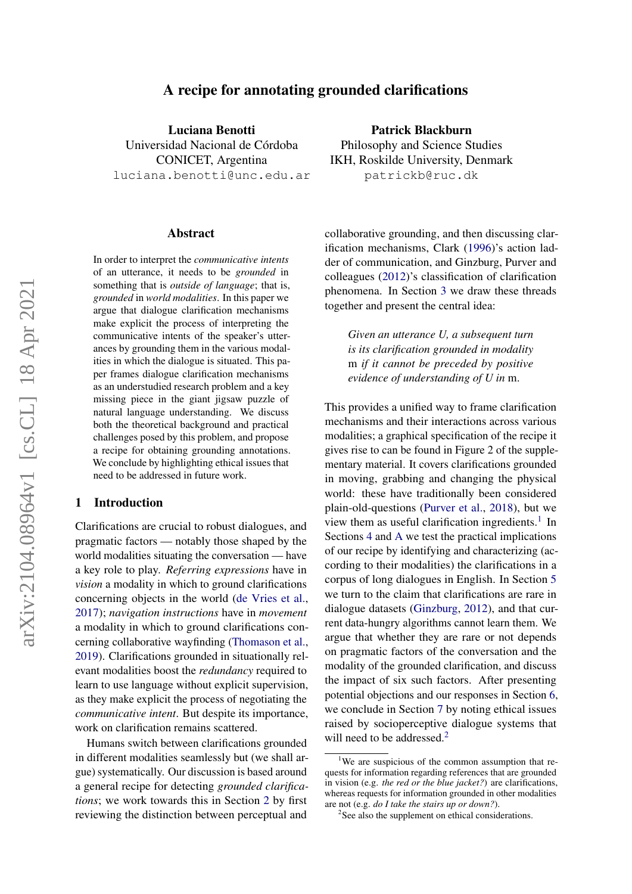# A recipe for annotating grounded clarifications

Luciana Benotti Universidad Nacional de Córdoba CONICET, Argentina luciana.benotti@unc.edu.ar

#### Abstract

In order to interpret the *communicative intents* of an utterance, it needs to be *grounded* in something that is *outside of language*; that is, *grounded* in *world modalities*. In this paper we argue that dialogue clarification mechanisms make explicit the process of interpreting the communicative intents of the speaker's utterances by grounding them in the various modalities in which the dialogue is situated. This paper frames dialogue clarification mechanisms as an understudied research problem and a key missing piece in the giant jigsaw puzzle of natural language understanding. We discuss both the theoretical background and practical challenges posed by this problem, and propose a recipe for obtaining grounding annotations. We conclude by highlighting ethical issues that need to be addressed in future work.

### 1 Introduction

Clarifications are crucial to robust dialogues, and pragmatic factors — notably those shaped by the world modalities situating the conversation — have a key role to play. *Referring expressions* have in *vision* a modality in which to ground clarifications concerning objects in the world [\(de Vries et al.,](#page-9-0) [2017\)](#page-9-0); *navigation instructions* have in *movement* a modality in which to ground clarifications concerning collaborative wayfinding [\(Thomason et al.,](#page-11-0) [2019\)](#page-11-0). Clarifications grounded in situationally relevant modalities boost the *redundancy* required to learn to use language without explicit supervision, as they make explicit the process of negotiating the *communicative intent*. But despite its importance, work on clarification remains scattered.

Humans switch between clarifications grounded in different modalities seamlessly but (we shall argue) systematically. Our discussion is based around a general recipe for detecting *grounded clarifications*; we work towards this in Section [2](#page-1-0) by first reviewing the distinction between perceptual and

collaborative grounding, and then discussing clarification mechanisms, Clark [\(1996\)](#page-9-1)'s action ladder of communication, and Ginzburg, Purver and colleagues [\(2012\)](#page-10-0)'s classification of clarification phenomena. In Section [3](#page-3-0) we draw these threads together and present the central idea:

> *Given an utterance U, a subsequent turn is its clarification grounded in modality* m *if it cannot be preceded by positive evidence of understanding of U in* m.

This provides a unified way to frame clarification mechanisms and their interactions across various modalities; a graphical specification of the recipe it gives rise to can be found in Figure 2 of the supplementary material. It covers clarifications grounded in moving, grabbing and changing the physical world: these have traditionally been considered plain-old-questions [\(Purver et al.,](#page-10-1) [2018\)](#page-10-1), but we view them as useful clarification ingredients.<sup>[1](#page-0-0)</sup> In Sections [4](#page-4-0) and [A](#page-11-1) we test the practical implications of our recipe by identifying and characterizing (according to their modalities) the clarifications in a corpus of long dialogues in English. In Section [5](#page-6-0) we turn to the claim that clarifications are rare in dialogue datasets [\(Ginzburg,](#page-10-0) [2012\)](#page-10-0), and that current data-hungry algorithms cannot learn them. We argue that whether they are rare or not depends on pragmatic factors of the conversation and the modality of the grounded clarification, and discuss the impact of six such factors. After presenting potential objections and our responses in Section [6,](#page-7-0) we conclude in Section [7](#page-8-0) by noting ethical issues raised by socioperceptive dialogue systems that will need to be addressed.<sup>[2](#page-0-1)</sup>

Patrick Blackburn

Philosophy and Science Studies IKH, Roskilde University, Denmark patrickb@ruc.dk

<span id="page-0-0"></span><sup>&</sup>lt;sup>1</sup>We are suspicious of the common assumption that requests for information regarding references that are grounded in vision (e.g. *the red or the blue jacket?*) are clarifications, whereas requests for information grounded in other modalities are not (e.g. *do I take the stairs up or down?*).

<span id="page-0-1"></span><sup>&</sup>lt;sup>2</sup>See also the supplement on ethical considerations.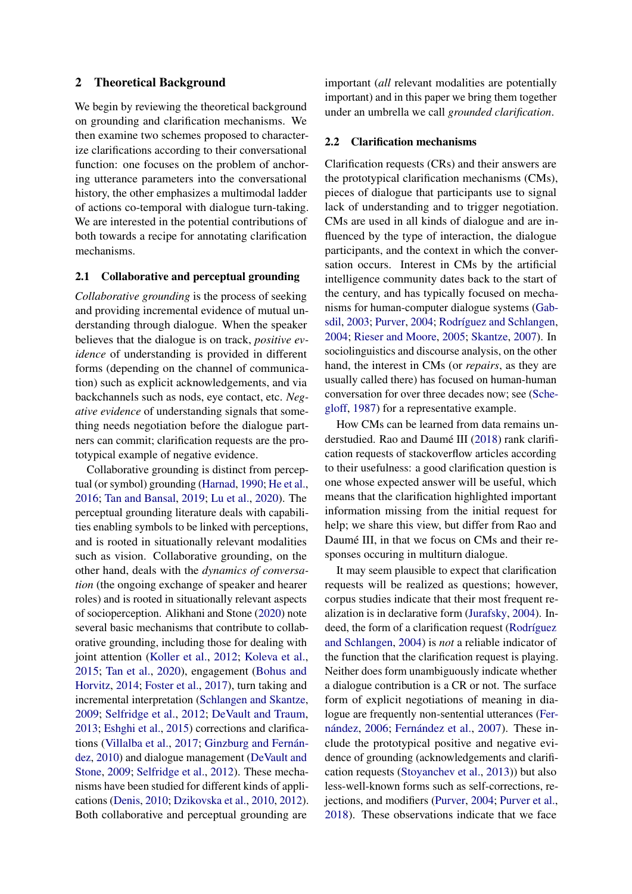### <span id="page-1-0"></span>2 Theoretical Background

We begin by reviewing the theoretical background on grounding and clarification mechanisms. We then examine two schemes proposed to characterize clarifications according to their conversational function: one focuses on the problem of anchoring utterance parameters into the conversational history, the other emphasizes a multimodal ladder of actions co-temporal with dialogue turn-taking. We are interested in the potential contributions of both towards a recipe for annotating clarification mechanisms.

### 2.1 Collaborative and perceptual grounding

*Collaborative grounding* is the process of seeking and providing incremental evidence of mutual understanding through dialogue. When the speaker believes that the dialogue is on track, *positive evidence* of understanding is provided in different forms (depending on the channel of communication) such as explicit acknowledgements, and via backchannels such as nods, eye contact, etc. *Negative evidence* of understanding signals that something needs negotiation before the dialogue partners can commit; clarification requests are the prototypical example of negative evidence.

Collaborative grounding is distinct from perceptual (or symbol) grounding [\(Harnad,](#page-10-2) [1990;](#page-10-2) [He et al.,](#page-10-3) [2016;](#page-10-3) [Tan and Bansal,](#page-11-2) [2019;](#page-11-2) [Lu et al.,](#page-10-4) [2020\)](#page-10-4). The perceptual grounding literature deals with capabilities enabling symbols to be linked with perceptions, and is rooted in situationally relevant modalities such as vision. Collaborative grounding, on the other hand, deals with the *dynamics of conversation* (the ongoing exchange of speaker and hearer roles) and is rooted in situationally relevant aspects of socioperception. Alikhani and Stone [\(2020\)](#page-9-2) note several basic mechanisms that contribute to collaborative grounding, including those for dealing with joint attention [\(Koller et al.,](#page-10-5) [2012;](#page-10-5) [Koleva et al.,](#page-10-6) [2015;](#page-10-6) [Tan et al.,](#page-11-3) [2020\)](#page-11-3), engagement [\(Bohus and](#page-9-3) [Horvitz,](#page-9-3) [2014;](#page-9-3) [Foster et al.,](#page-10-7) [2017\)](#page-10-7), turn taking and incremental interpretation [\(Schlangen and Skantze,](#page-11-4) [2009;](#page-11-4) [Selfridge et al.,](#page-11-5) [2012;](#page-11-5) [DeVault and Traum,](#page-9-4) [2013;](#page-9-4) [Eshghi et al.,](#page-10-8) [2015\)](#page-10-8) corrections and clarifications [\(Villalba et al.,](#page-11-6) [2017;](#page-11-6) [Ginzburg and Fernán](#page-10-9)[dez,](#page-10-9) [2010\)](#page-10-9) and dialogue management [\(DeVault and](#page-9-5) [Stone,](#page-9-5) [2009;](#page-9-5) [Selfridge et al.,](#page-11-5) [2012\)](#page-11-5). These mechanisms have been studied for different kinds of applications [\(Denis,](#page-9-6) [2010;](#page-9-6) [Dzikovska et al.,](#page-10-10) [2010,](#page-10-10) [2012\)](#page-9-7). Both collaborative and perceptual grounding are

important (*all* relevant modalities are potentially important) and in this paper we bring them together under an umbrella we call *grounded clarification*.

#### 2.2 Clarification mechanisms

Clarification requests (CRs) and their answers are the prototypical clarification mechanisms (CMs), pieces of dialogue that participants use to signal lack of understanding and to trigger negotiation. CMs are used in all kinds of dialogue and are influenced by the type of interaction, the dialogue participants, and the context in which the conversation occurs. Interest in CMs by the artificial intelligence community dates back to the start of the century, and has typically focused on mechanisms for human-computer dialogue systems [\(Gab](#page-10-11)[sdil,](#page-10-11) [2003;](#page-10-11) [Purver,](#page-10-12) [2004;](#page-10-12) [Rodríguez and Schlangen,](#page-10-13) [2004;](#page-10-13) [Rieser and Moore,](#page-10-14) [2005;](#page-10-14) [Skantze,](#page-11-7) [2007\)](#page-11-7). In sociolinguistics and discourse analysis, on the other hand, the interest in CMs (or *repairs*, as they are usually called there) has focused on human-human conversation for over three decades now; see [\(Sche](#page-10-15)[gloff,](#page-10-15) [1987\)](#page-10-15) for a representative example.

How CMs can be learned from data remains understudied. Rao and Daumé III [\(2018\)](#page-10-16) rank clarification requests of stackoverflow articles according to their usefulness: a good clarification question is one whose expected answer will be useful, which means that the clarification highlighted important information missing from the initial request for help; we share this view, but differ from Rao and Daumé III, in that we focus on CMs and their responses occuring in multiturn dialogue.

It may seem plausible to expect that clarification requests will be realized as questions; however, corpus studies indicate that their most frequent realization is in declarative form [\(Jurafsky,](#page-10-17) [2004\)](#page-10-17). Indeed, the form of a clarification request [\(Rodríguez](#page-10-13) [and Schlangen,](#page-10-13) [2004\)](#page-10-13) is *not* a reliable indicator of the function that the clarification request is playing. Neither does form unambiguously indicate whether a dialogue contribution is a CR or not. The surface form of explicit negotiations of meaning in dialogue are frequently non-sentential utterances [\(Fer](#page-10-18)[nández,](#page-10-18) [2006;](#page-10-18) [Fernández et al.,](#page-10-19) [2007\)](#page-10-19). These include the prototypical positive and negative evidence of grounding (acknowledgements and clarification requests [\(Stoyanchev et al.,](#page-11-8) [2013\)](#page-11-8)) but also less-well-known forms such as self-corrections, rejections, and modifiers [\(Purver,](#page-10-12) [2004;](#page-10-12) [Purver et al.,](#page-10-1) [2018\)](#page-10-1). These observations indicate that we face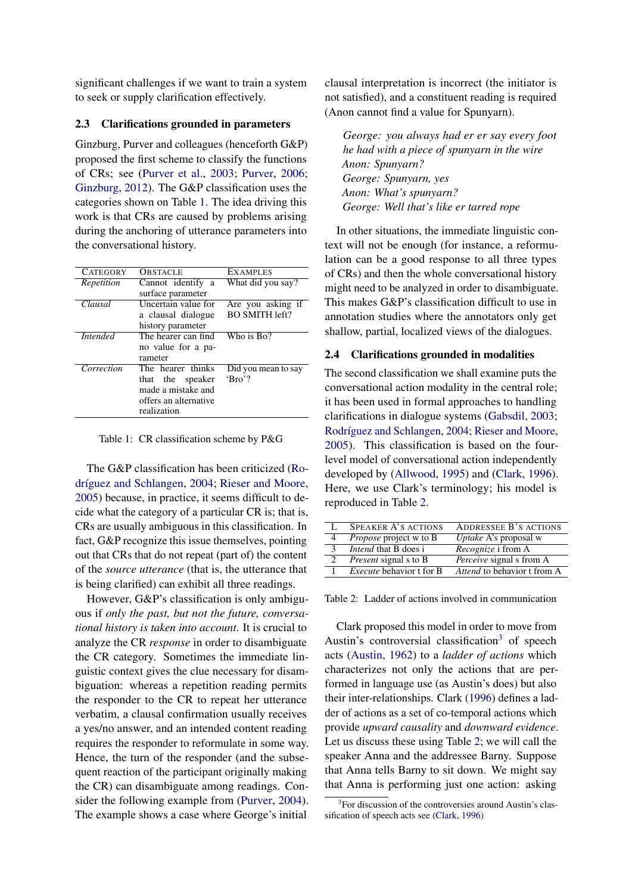significant challenges if we want to train a system to seek or supply clarification effectively.

#### 2.3 Clarifications grounded in parameters

Ginzburg, Purver and colleagues (henceforth G&P) proposed the first scheme to classify the functions of CRs; see [\(Purver et al.,](#page-10-20) [2003;](#page-10-20) [Purver,](#page-10-21) [2006;](#page-10-21) [Ginzburg,](#page-10-0) [2012\)](#page-10-0). The G&P classification uses the categories shown on Table [1.](#page-2-0) The idea driving this work is that CRs are caused by problems arising during the anchoring of utterance parameters into the conversational history.

<span id="page-2-0"></span>

| <b>CATEGORY</b> | <b>OBSTACLE</b>                   | <b>EXAMPLES</b>       |  |  |  |
|-----------------|-----------------------------------|-----------------------|--|--|--|
| Repetition      | Cannot identify a                 | What did you say?     |  |  |  |
|                 | surface parameter                 |                       |  |  |  |
| Clausal         | $\overline{Unc}$ ertain value for | Are you asking if     |  |  |  |
|                 | a clausal dialogue                | <b>BO SMITH left?</b> |  |  |  |
|                 | history parameter                 |                       |  |  |  |
| <i>Intended</i> | The hearer can find               | Who is $Bo?$          |  |  |  |
|                 | no value for a pa-                |                       |  |  |  |
|                 | rameter                           |                       |  |  |  |
| Correction      | The hearer thinks                 | Did you mean to say   |  |  |  |
|                 | that the<br>speaker               | 'Bro'?                |  |  |  |
|                 | made a mistake and                |                       |  |  |  |
|                 | offers an alternative             |                       |  |  |  |
|                 | realization                       |                       |  |  |  |
|                 |                                   |                       |  |  |  |

Table 1: CR classification scheme by P&G

The G&P classification has been criticized [\(Ro](#page-10-13)[dríguez and Schlangen,](#page-10-13) [2004;](#page-10-13) [Rieser and Moore,](#page-10-14) [2005\)](#page-10-14) because, in practice, it seems difficult to decide what the category of a particular CR is; that is, CRs are usually ambiguous in this classification. In fact, G&P recognize this issue themselves, pointing out that CRs that do not repeat (part of) the content of the *source utterance* (that is, the utterance that is being clarified) can exhibit all three readings.

However, G&P's classification is only ambiguous if *only the past, but not the future, conversational history is taken into account*. It is crucial to analyze the CR *response* in order to disambiguate the CR category. Sometimes the immediate linguistic context gives the clue necessary for disambiguation: whereas a repetition reading permits the responder to the CR to repeat her utterance verbatim, a clausal confirmation usually receives a yes/no answer, and an intended content reading requires the responder to reformulate in some way. Hence, the turn of the responder (and the subsequent reaction of the participant originally making the CR) can disambiguate among readings. Consider the following example from [\(Purver,](#page-10-12) [2004\)](#page-10-12). The example shows a case where George's initial

clausal interpretation is incorrect (the initiator is not satisfied), and a constituent reading is required (Anon cannot find a value for Spunyarn).

*George: you always had er er say every foot he had with a piece of spunyarn in the wire Anon: Spunyarn? George: Spunyarn, yes Anon: What's spunyarn? George: Well that's like er tarred rope*

In other situations, the immediate linguistic context will not be enough (for instance, a reformulation can be a good response to all three types of CRs) and then the whole conversational history might need to be analyzed in order to disambiguate. This makes G&P's classification difficult to use in annotation studies where the annotators only get shallow, partial, localized views of the dialogues.

### 2.4 Clarifications grounded in modalities

The second classification we shall examine puts the conversational action modality in the central role; it has been used in formal approaches to handling clarifications in dialogue systems [\(Gabsdil,](#page-10-11) [2003;](#page-10-11) [Rodríguez and Schlangen,](#page-10-13) [2004;](#page-10-13) [Rieser and Moore,](#page-10-14) [2005\)](#page-10-14). This classification is based on the fourlevel model of conversational action independently developed by [\(Allwood,](#page-9-8) [1995\)](#page-9-8) and [\(Clark,](#page-9-1) [1996\)](#page-9-1). Here, we use Clark's terminology; his model is reproduced in Table [2.](#page-2-1)

<span id="page-2-1"></span>

|   | <b>SPEAKER A'S ACTIONS</b>      | <b>ADDRESSEE B'S ACTIONS</b>       |
|---|---------------------------------|------------------------------------|
|   | <i>Propose</i> project w to B   | Uptake A's proposal w              |
|   | <i>Intend</i> that B does i     | Recognize i from A                 |
| 2 | <i>Present</i> signal s to B    | <i>Perceive</i> signal s from A    |
|   | <i>Execute</i> behavior t for B | <i>Attend</i> to behavior t from A |

Table 2: Ladder of actions involved in communication

Clark proposed this model in order to move from Austin's controversial classification<sup>[3](#page-2-2)</sup> of speech acts [\(Austin,](#page-9-9) [1962\)](#page-9-9) to a *ladder of actions* which characterizes not only the actions that are performed in language use (as Austin's does) but also their inter-relationships. Clark [\(1996\)](#page-9-1) defines a ladder of actions as a set of co-temporal actions which provide *upward causality* and *downward evidence*. Let us discuss these using Table [2;](#page-2-1) we will call the speaker Anna and the addressee Barny. Suppose that Anna tells Barny to sit down. We might say that Anna is performing just one action: asking

<span id="page-2-2"></span><sup>3</sup> For discussion of the controversies around Austin's classification of speech acts see [\(Clark,](#page-9-1) [1996\)](#page-9-1)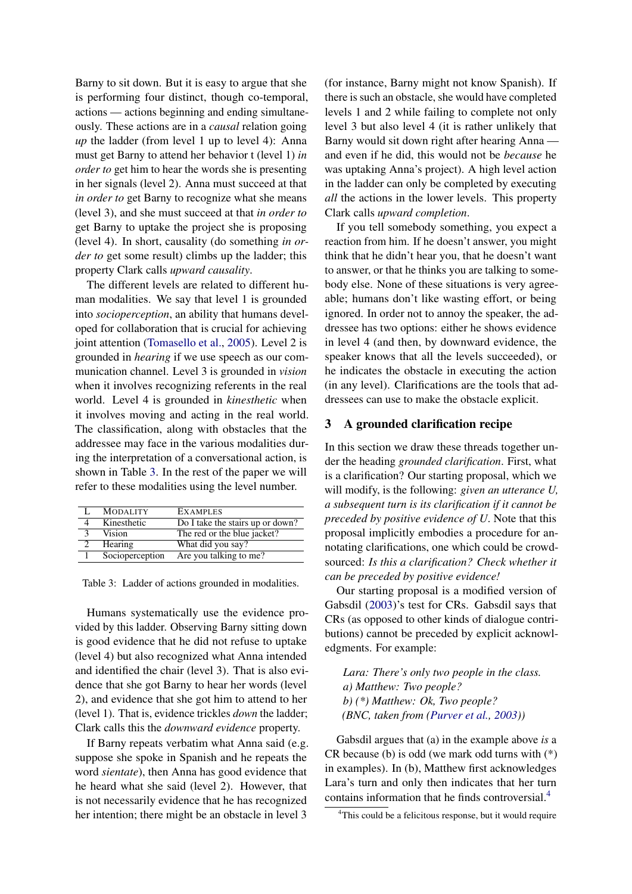Barny to sit down. But it is easy to argue that she is performing four distinct, though co-temporal, actions — actions beginning and ending simultaneously. These actions are in a *causal* relation going *up* the ladder (from level 1 up to level 4): Anna must get Barny to attend her behavior t (level 1) *in order to* get him to hear the words she is presenting in her signals (level 2). Anna must succeed at that *in order to* get Barny to recognize what she means (level 3), and she must succeed at that *in order to* get Barny to uptake the project she is proposing (level 4). In short, causality (do something *in order to* get some result) climbs up the ladder; this property Clark calls *upward causality*.

The different levels are related to different human modalities. We say that level 1 is grounded into *socioperception*, an ability that humans developed for collaboration that is crucial for achieving joint attention [\(Tomasello et al.,](#page-11-9) [2005\)](#page-11-9). Level 2 is grounded in *hearing* if we use speech as our communication channel. Level 3 is grounded in *vision* when it involves recognizing referents in the real world. Level 4 is grounded in *kinesthetic* when it involves moving and acting in the real world. The classification, along with obstacles that the addressee may face in the various modalities during the interpretation of a conversational action, is shown in Table [3.](#page-3-1) In the rest of the paper we will refer to these modalities using the level number.

<span id="page-3-1"></span>

|               | <b>MODALITY</b> | <b>EXAMPLES</b>                  |
|---------------|-----------------|----------------------------------|
|               | Kinesthetic     | Do I take the stairs up or down? |
|               | Vision          | The red or the blue jacket?      |
| $\mathcal{D}$ | Hearing         | What did you say?                |
|               | Socioperception | Are you talking to me?           |

Table 3: Ladder of actions grounded in modalities.

Humans systematically use the evidence provided by this ladder. Observing Barny sitting down is good evidence that he did not refuse to uptake (level 4) but also recognized what Anna intended and identified the chair (level 3). That is also evidence that she got Barny to hear her words (level 2), and evidence that she got him to attend to her (level 1). That is, evidence trickles *down* the ladder; Clark calls this the *downward evidence* property.

If Barny repeats verbatim what Anna said (e.g. suppose she spoke in Spanish and he repeats the word *sientate*), then Anna has good evidence that he heard what she said (level 2). However, that is not necessarily evidence that he has recognized her intention; there might be an obstacle in level 3

(for instance, Barny might not know Spanish). If there is such an obstacle, she would have completed levels 1 and 2 while failing to complete not only level 3 but also level 4 (it is rather unlikely that Barny would sit down right after hearing Anna and even if he did, this would not be *because* he was uptaking Anna's project). A high level action in the ladder can only be completed by executing *all* the actions in the lower levels. This property Clark calls *upward completion*.

If you tell somebody something, you expect a reaction from him. If he doesn't answer, you might think that he didn't hear you, that he doesn't want to answer, or that he thinks you are talking to somebody else. None of these situations is very agreeable; humans don't like wasting effort, or being ignored. In order not to annoy the speaker, the addressee has two options: either he shows evidence in level 4 (and then, by downward evidence, the speaker knows that all the levels succeeded), or he indicates the obstacle in executing the action (in any level). Clarifications are the tools that addressees can use to make the obstacle explicit.

## <span id="page-3-0"></span>3 A grounded clarification recipe

In this section we draw these threads together under the heading *grounded clarification*. First, what is a clarification? Our starting proposal, which we will modify, is the following: *given an utterance U, a subsequent turn is its clarification if it cannot be preceded by positive evidence of U*. Note that this proposal implicitly embodies a procedure for annotating clarifications, one which could be crowdsourced: *Is this a clarification? Check whether it can be preceded by positive evidence!*

Our starting proposal is a modified version of Gabsdil [\(2003\)](#page-10-11)'s test for CRs. Gabsdil says that CRs (as opposed to other kinds of dialogue contributions) cannot be preceded by explicit acknowledgments. For example:

*Lara: There's only two people in the class. a) Matthew: Two people? b) (\*) Matthew: Ok, Two people? (BNC, taken from [\(Purver et al.,](#page-10-20) [2003\)](#page-10-20))*

Gabsdil argues that (a) in the example above *is* a CR because (b) is odd (we mark odd turns with (\*) in examples). In (b), Matthew first acknowledges Lara's turn and only then indicates that her turn contains information that he finds controversial.[4](#page-3-2)

<span id="page-3-2"></span><sup>4</sup>This could be a felicitous response, but it would require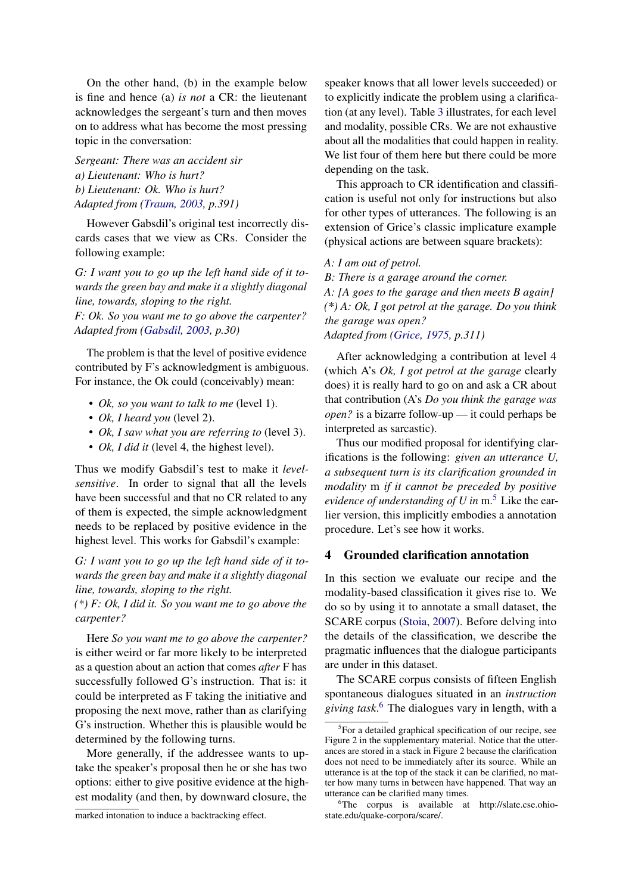On the other hand, (b) in the example below is fine and hence (a) *is not* a CR: the lieutenant acknowledges the sergeant's turn and then moves on to address what has become the most pressing topic in the conversation:

*Sergeant: There was an accident sir a) Lieutenant: Who is hurt? b) Lieutenant: Ok. Who is hurt? Adapted from [\(Traum,](#page-11-10) [2003,](#page-11-10) p.391)*

However Gabsdil's original test incorrectly discards cases that we view as CRs. Consider the following example:

*G: I want you to go up the left hand side of it towards the green bay and make it a slightly diagonal line, towards, sloping to the right.*

*F: Ok. So you want me to go above the carpenter? Adapted from [\(Gabsdil,](#page-10-11) [2003,](#page-10-11) p.30)*

The problem is that the level of positive evidence contributed by F's acknowledgment is ambiguous. For instance, the Ok could (conceivably) mean:

- *Ok, so you want to talk to me* (level 1).
- *Ok, I heard you* (level 2).
- *Ok, I saw what you are referring to* (level 3).
- *Ok, I did it* (level 4, the highest level).

Thus we modify Gabsdil's test to make it *levelsensitive*. In order to signal that all the levels have been successful and that no CR related to any of them is expected, the simple acknowledgment needs to be replaced by positive evidence in the highest level. This works for Gabsdil's example:

*G: I want you to go up the left hand side of it towards the green bay and make it a slightly diagonal line, towards, sloping to the right.*

*(\*) F: Ok, I did it. So you want me to go above the carpenter?*

Here *So you want me to go above the carpenter?* is either weird or far more likely to be interpreted as a question about an action that comes *after* F has successfully followed G's instruction. That is: it could be interpreted as F taking the initiative and proposing the next move, rather than as clarifying G's instruction. Whether this is plausible would be determined by the following turns.

More generally, if the addressee wants to uptake the speaker's proposal then he or she has two options: either to give positive evidence at the highest modality (and then, by downward closure, the

marked intonation to induce a backtracking effect.

speaker knows that all lower levels succeeded) or to explicitly indicate the problem using a clarification (at any level). Table [3](#page-3-1) illustrates, for each level and modality, possible CRs. We are not exhaustive about all the modalities that could happen in reality. We list four of them here but there could be more depending on the task.

This approach to CR identification and classification is useful not only for instructions but also for other types of utterances. The following is an extension of Grice's classic implicature example (physical actions are between square brackets):

#### *A: I am out of petrol.*

*B: There is a garage around the corner. A: [A goes to the garage and then meets B again] (\*) A: Ok, I got petrol at the garage. Do you think the garage was open? Adapted from [\(Grice,](#page-10-22) [1975,](#page-10-22) p.311)*

After acknowledging a contribution at level 4 (which A's *Ok, I got petrol at the garage* clearly does) it is really hard to go on and ask a CR about that contribution (A's *Do you think the garage was open?* is a bizarre follow-up — it could perhaps be interpreted as sarcastic).

Thus our modified proposal for identifying clarifications is the following: *given an utterance U, a subsequent turn is its clarification grounded in modality* m *if it cannot be preceded by positive evidence of understanding of U in* m.[5](#page-4-1) Like the earlier version, this implicitly embodies a annotation procedure. Let's see how it works.

## <span id="page-4-0"></span>4 Grounded clarification annotation

In this section we evaluate our recipe and the modality-based classification it gives rise to. We do so by using it to annotate a small dataset, the SCARE corpus [\(Stoia,](#page-11-11) [2007\)](#page-11-11). Before delving into the details of the classification, we describe the pragmatic influences that the dialogue participants are under in this dataset.

The SCARE corpus consists of fifteen English spontaneous dialogues situated in an *instruction giving task*. [6](#page-4-2) The dialogues vary in length, with a

<span id="page-4-1"></span><sup>&</sup>lt;sup>5</sup>For a detailed graphical specification of our recipe, see Figure 2 in the supplementary material. Notice that the utterances are stored in a stack in Figure 2 because the clarification does not need to be immediately after its source. While an utterance is at the top of the stack it can be clarified, no matter how many turns in between have happened. That way an utterance can be clarified many times.

<span id="page-4-2"></span><sup>&</sup>lt;sup>6</sup>The corpus is available at http://slate.cse.ohiostate.edu/quake-corpora/scare/.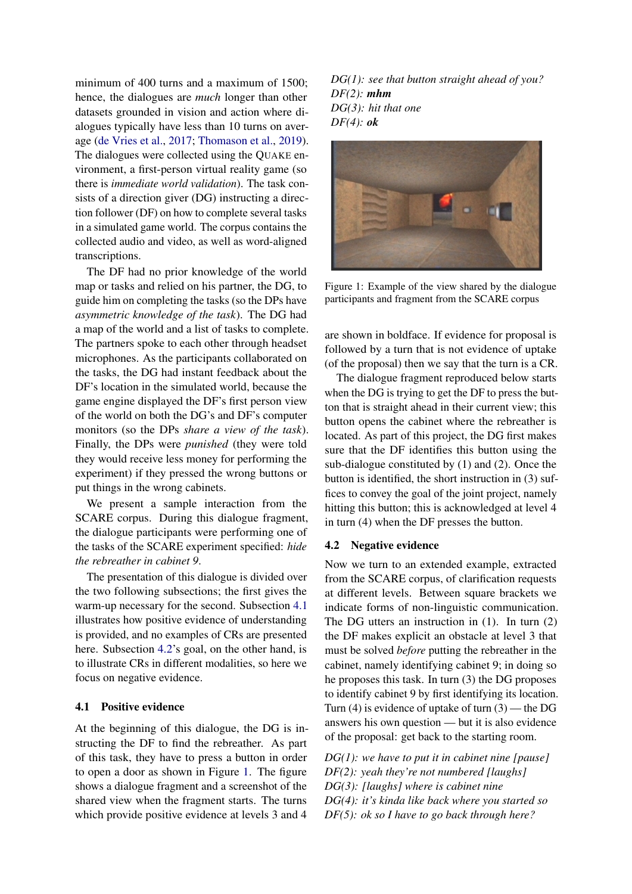minimum of 400 turns and a maximum of 1500; hence, the dialogues are *much* longer than other datasets grounded in vision and action where dialogues typically have less than 10 turns on average [\(de Vries et al.,](#page-9-0) [2017;](#page-9-0) [Thomason et al.,](#page-11-0) [2019\)](#page-11-0). The dialogues were collected using the QUAKE environment, a first-person virtual reality game (so there is *immediate world validation*). The task consists of a direction giver (DG) instructing a direction follower (DF) on how to complete several tasks in a simulated game world. The corpus contains the collected audio and video, as well as word-aligned transcriptions.

The DF had no prior knowledge of the world map or tasks and relied on his partner, the DG, to guide him on completing the tasks (so the DPs have *asymmetric knowledge of the task*). The DG had a map of the world and a list of tasks to complete. The partners spoke to each other through headset microphones. As the participants collaborated on the tasks, the DG had instant feedback about the DF's location in the simulated world, because the game engine displayed the DF's first person view of the world on both the DG's and DF's computer monitors (so the DPs *share a view of the task*). Finally, the DPs were *punished* (they were told they would receive less money for performing the experiment) if they pressed the wrong buttons or put things in the wrong cabinets.

We present a sample interaction from the SCARE corpus. During this dialogue fragment, the dialogue participants were performing one of the tasks of the SCARE experiment specified: *hide the rebreather in cabinet 9*.

The presentation of this dialogue is divided over the two following subsections; the first gives the warm-up necessary for the second. Subsection [4.1](#page-5-0) illustrates how positive evidence of understanding is provided, and no examples of CRs are presented here. Subsection [4.2'](#page-5-1)s goal, on the other hand, is to illustrate CRs in different modalities, so here we focus on negative evidence.

## <span id="page-5-0"></span>4.1 Positive evidence

At the beginning of this dialogue, the DG is instructing the DF to find the rebreather. As part of this task, they have to press a button in order to open a door as shown in Figure [1.](#page-5-2) The figure shows a dialogue fragment and a screenshot of the shared view when the fragment starts. The turns which provide positive evidence at levels 3 and 4

<span id="page-5-2"></span>*DG(1): see that button straight ahead of you? DF(2): mhm DG(3): hit that one DF(4): ok*



Figure 1: Example of the view shared by the dialogue participants and fragment from the SCARE corpus

are shown in boldface. If evidence for proposal is followed by a turn that is not evidence of uptake (of the proposal) then we say that the turn is a CR.

The dialogue fragment reproduced below starts when the DG is trying to get the DF to press the button that is straight ahead in their current view; this button opens the cabinet where the rebreather is located. As part of this project, the DG first makes sure that the DF identifies this button using the sub-dialogue constituted by (1) and (2). Once the button is identified, the short instruction in (3) suffices to convey the goal of the joint project, namely hitting this button; this is acknowledged at level 4 in turn (4) when the DF presses the button.

## <span id="page-5-1"></span>4.2 Negative evidence

Now we turn to an extended example, extracted from the SCARE corpus, of clarification requests at different levels. Between square brackets we indicate forms of non-linguistic communication. The DG utters an instruction in (1). In turn (2) the DF makes explicit an obstacle at level 3 that must be solved *before* putting the rebreather in the cabinet, namely identifying cabinet 9; in doing so he proposes this task. In turn (3) the DG proposes to identify cabinet 9 by first identifying its location. Turn (4) is evidence of uptake of turn  $(3)$  — the DG answers his own question — but it is also evidence of the proposal: get back to the starting room.

*DG(1): we have to put it in cabinet nine [pause] DF(2): yeah they're not numbered [laughs] DG(3): [laughs] where is cabinet nine DG(4): it's kinda like back where you started so DF(5): ok so I have to go back through here?*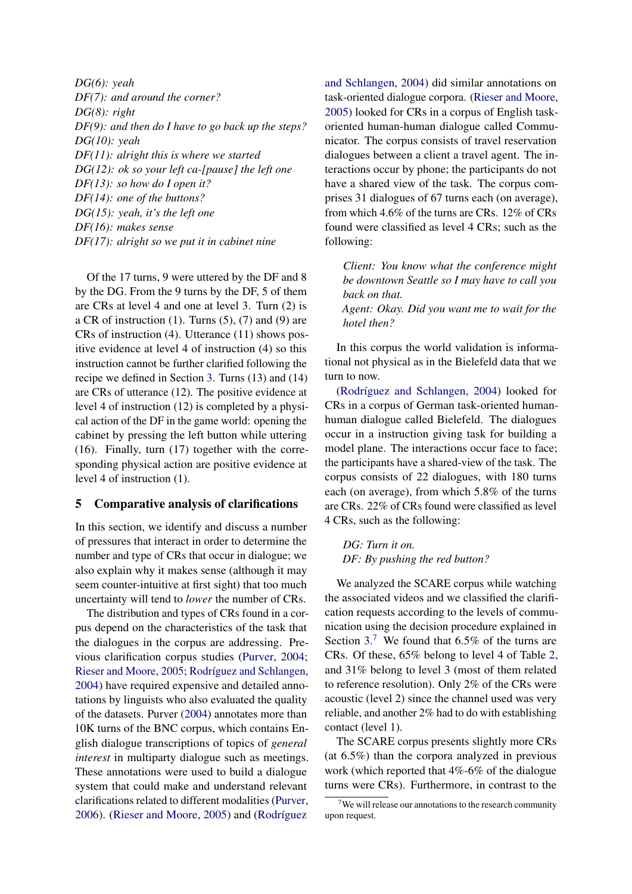*DG(6): yeah DF(7): and around the corner? DG(8): right DF(9): and then do I have to go back up the steps? DG(10): yeah DF(11): alright this is where we started DG(12): ok so your left ca-[pause] the left one DF(13): so how do I open it? DF(14): one of the buttons? DG(15): yeah, it's the left one DF(16): makes sense DF(17): alright so we put it in cabinet nine*

Of the 17 turns, 9 were uttered by the DF and 8 by the DG. From the 9 turns by the DF, 5 of them are CRs at level 4 and one at level 3. Turn (2) is a CR of instruction  $(1)$ . Turns  $(5)$ ,  $(7)$  and  $(9)$  are CRs of instruction (4). Utterance (11) shows positive evidence at level 4 of instruction (4) so this instruction cannot be further clarified following the recipe we defined in Section [3.](#page-3-0) Turns (13) and (14) are CRs of utterance (12). The positive evidence at level 4 of instruction (12) is completed by a physical action of the DF in the game world: opening the cabinet by pressing the left button while uttering (16). Finally, turn (17) together with the corresponding physical action are positive evidence at level 4 of instruction (1).

#### <span id="page-6-0"></span>5 Comparative analysis of clarifications

In this section, we identify and discuss a number of pressures that interact in order to determine the number and type of CRs that occur in dialogue; we also explain why it makes sense (although it may seem counter-intuitive at first sight) that too much uncertainty will tend to *lower* the number of CRs.

The distribution and types of CRs found in a corpus depend on the characteristics of the task that the dialogues in the corpus are addressing. Previous clarification corpus studies [\(Purver,](#page-10-12) [2004;](#page-10-12) [Rieser and Moore,](#page-10-14) [2005;](#page-10-14) [Rodríguez and Schlangen,](#page-10-13) [2004\)](#page-10-13) have required expensive and detailed annotations by linguists who also evaluated the quality of the datasets. Purver [\(2004\)](#page-10-12) annotates more than 10K turns of the BNC corpus, which contains English dialogue transcriptions of topics of *general interest* in multiparty dialogue such as meetings. These annotations were used to build a dialogue system that could make and understand relevant clarifications related to different modalities [\(Purver,](#page-10-21) [2006\)](#page-10-21). [\(Rieser and Moore,](#page-10-14) [2005\)](#page-10-14) and [\(Rodríguez](#page-10-13)

[and Schlangen,](#page-10-13) [2004\)](#page-10-13) did similar annotations on task-oriented dialogue corpora. [\(Rieser and Moore,](#page-10-14) [2005\)](#page-10-14) looked for CRs in a corpus of English taskoriented human-human dialogue called Communicator. The corpus consists of travel reservation dialogues between a client a travel agent. The interactions occur by phone; the participants do not have a shared view of the task. The corpus comprises 31 dialogues of 67 turns each (on average), from which 4.6% of the turns are CRs. 12% of CRs found were classified as level 4 CRs; such as the following:

*Client: You know what the conference might be downtown Seattle so I may have to call you back on that. Agent: Okay. Did you want me to wait for the hotel then?*

In this corpus the world validation is informational not physical as in the Bielefeld data that we turn to now.

[\(Rodríguez and Schlangen,](#page-10-13) [2004\)](#page-10-13) looked for CRs in a corpus of German task-oriented humanhuman dialogue called Bielefeld. The dialogues occur in a instruction giving task for building a model plane. The interactions occur face to face; the participants have a shared-view of the task. The corpus consists of 22 dialogues, with 180 turns each (on average), from which 5.8% of the turns are CRs. 22% of CRs found were classified as level 4 CRs, such as the following:

*DG: Turn it on. DF: By pushing the red button?*

We analyzed the SCARE corpus while watching the associated videos and we classified the clarification requests according to the levels of communication using the decision procedure explained in Section  $3<sup>7</sup>$  $3<sup>7</sup>$  $3<sup>7</sup>$  We found that 6.5% of the turns are CRs. Of these, 65% belong to level 4 of Table [2,](#page-2-1) and 31% belong to level 3 (most of them related to reference resolution). Only 2% of the CRs were acoustic (level 2) since the channel used was very reliable, and another 2% had to do with establishing contact (level 1).

The SCARE corpus presents slightly more CRs (at 6.5%) than the corpora analyzed in previous work (which reported that 4%-6% of the dialogue turns were CRs). Furthermore, in contrast to the

<span id="page-6-1"></span> $7$ We will release our annotations to the research community upon request.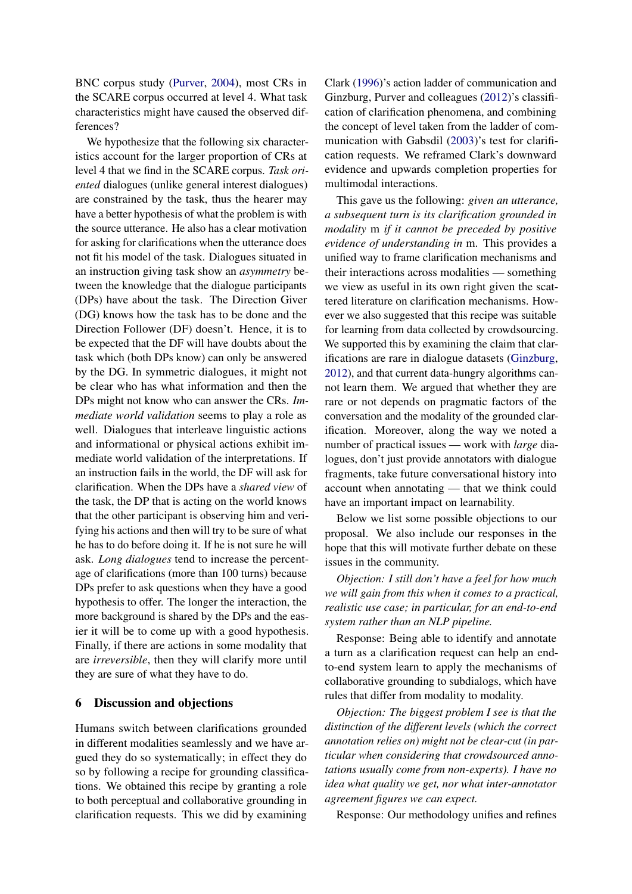BNC corpus study [\(Purver,](#page-10-12) [2004\)](#page-10-12), most CRs in the SCARE corpus occurred at level 4. What task characteristics might have caused the observed differences?

We hypothesize that the following six characteristics account for the larger proportion of CRs at level 4 that we find in the SCARE corpus. *Task oriented* dialogues (unlike general interest dialogues) are constrained by the task, thus the hearer may have a better hypothesis of what the problem is with the source utterance. He also has a clear motivation for asking for clarifications when the utterance does not fit his model of the task. Dialogues situated in an instruction giving task show an *asymmetry* between the knowledge that the dialogue participants (DPs) have about the task. The Direction Giver (DG) knows how the task has to be done and the Direction Follower (DF) doesn't. Hence, it is to be expected that the DF will have doubts about the task which (both DPs know) can only be answered by the DG. In symmetric dialogues, it might not be clear who has what information and then the DPs might not know who can answer the CRs. *Immediate world validation* seems to play a role as well. Dialogues that interleave linguistic actions and informational or physical actions exhibit immediate world validation of the interpretations. If an instruction fails in the world, the DF will ask for clarification. When the DPs have a *shared view* of the task, the DP that is acting on the world knows that the other participant is observing him and verifying his actions and then will try to be sure of what he has to do before doing it. If he is not sure he will ask. *Long dialogues* tend to increase the percentage of clarifications (more than 100 turns) because DPs prefer to ask questions when they have a good hypothesis to offer. The longer the interaction, the more background is shared by the DPs and the easier it will be to come up with a good hypothesis. Finally, if there are actions in some modality that are *irreversible*, then they will clarify more until they are sure of what they have to do.

#### <span id="page-7-0"></span>6 Discussion and objections

Humans switch between clarifications grounded in different modalities seamlessly and we have argued they do so systematically; in effect they do so by following a recipe for grounding classifications. We obtained this recipe by granting a role to both perceptual and collaborative grounding in clarification requests. This we did by examining

Clark [\(1996\)](#page-9-1)'s action ladder of communication and Ginzburg, Purver and colleagues [\(2012\)](#page-10-0)'s classification of clarification phenomena, and combining the concept of level taken from the ladder of communication with Gabsdil [\(2003\)](#page-10-11)'s test for clarification requests. We reframed Clark's downward evidence and upwards completion properties for multimodal interactions.

This gave us the following: *given an utterance, a subsequent turn is its clarification grounded in modality* m *if it cannot be preceded by positive evidence of understanding in* m. This provides a unified way to frame clarification mechanisms and their interactions across modalities — something we view as useful in its own right given the scattered literature on clarification mechanisms. However we also suggested that this recipe was suitable for learning from data collected by crowdsourcing. We supported this by examining the claim that clarifications are rare in dialogue datasets [\(Ginzburg,](#page-10-0) [2012\)](#page-10-0), and that current data-hungry algorithms cannot learn them. We argued that whether they are rare or not depends on pragmatic factors of the conversation and the modality of the grounded clarification. Moreover, along the way we noted a number of practical issues — work with *large* dialogues, don't just provide annotators with dialogue fragments, take future conversational history into account when annotating — that we think could have an important impact on learnability.

Below we list some possible objections to our proposal. We also include our responses in the hope that this will motivate further debate on these issues in the community.

*Objection: I still don't have a feel for how much we will gain from this when it comes to a practical, realistic use case; in particular, for an end-to-end system rather than an NLP pipeline.*

Response: Being able to identify and annotate a turn as a clarification request can help an endto-end system learn to apply the mechanisms of collaborative grounding to subdialogs, which have rules that differ from modality to modality.

*Objection: The biggest problem I see is that the distinction of the different levels (which the correct annotation relies on) might not be clear-cut (in particular when considering that crowdsourced annotations usually come from non-experts). I have no idea what quality we get, nor what inter-annotator agreement figures we can expect.*

Response: Our methodology unifies and refines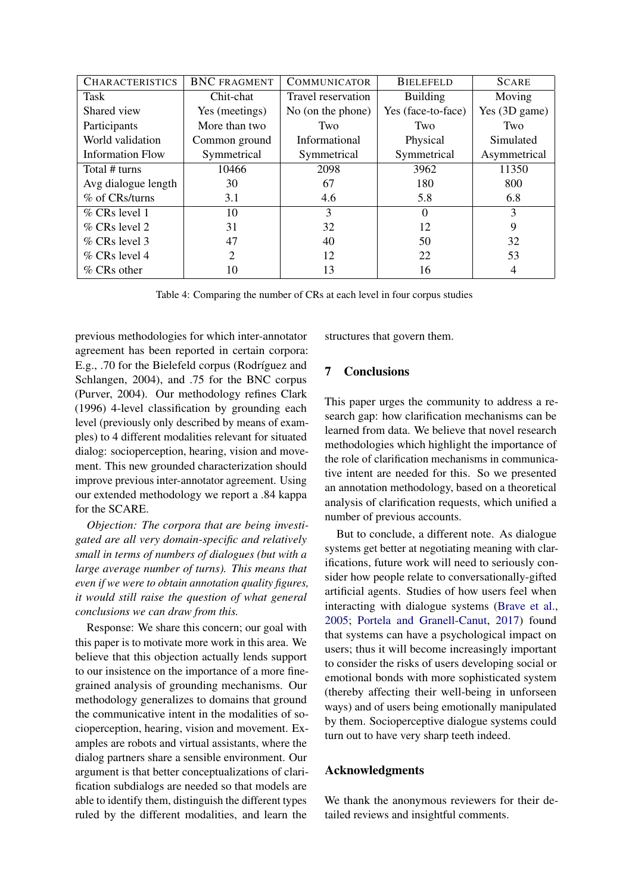| <b>CHARACTERISTICS</b>  | <b>BNC FRAGMENT</b> | <b>COMMUNICATOR</b> | <b>BIELEFELD</b>   | <b>SCARE</b>  |
|-------------------------|---------------------|---------------------|--------------------|---------------|
| Task                    | Chit-chat           | Travel reservation  | <b>Building</b>    | Moving        |
| Shared view             | Yes (meetings)      | No (on the phone)   | Yes (face-to-face) | Yes (3D game) |
| Participants            | More than two       | Two                 | Two                | Two           |
| World validation        | Common ground       | Informational       | Physical           | Simulated     |
| <b>Information Flow</b> | Symmetrical         | Symmetrical         | Symmetrical        | Asymmetrical  |
| Total # turns           | 10466               | 2098                | 3962               | 11350         |
| Avg dialogue length     | 30                  | 67                  | 180                | 800           |
| % of CRs/turns          | 3.1                 | 4.6                 | 5.8                | 6.8           |
| $%$ CRs level 1         | 10                  | 3                   | $\Omega$           | 3             |
| $\%$ CRs level 2        | 31                  | 32                  | 12                 | 9             |
| $\%$ CRs level 3        | 47                  | 40                  | 50                 | 32            |
| $%$ CRs level 4         | $\overline{2}$      | 12                  | 22                 | 53            |
| $\%$ CRs other          | 10                  | 13                  | 16                 | 4             |

Table 4: Comparing the number of CRs at each level in four corpus studies

previous methodologies for which inter-annotator agreement has been reported in certain corpora: E.g., .70 for the Bielefeld corpus (Rodríguez and Schlangen, 2004), and .75 for the BNC corpus (Purver, 2004). Our methodology refines Clark (1996) 4-level classification by grounding each level (previously only described by means of examples) to 4 different modalities relevant for situated dialog: socioperception, hearing, vision and movement. This new grounded characterization should improve previous inter-annotator agreement. Using our extended methodology we report a .84 kappa for the SCARE.

*Objection: The corpora that are being investigated are all very domain-specific and relatively small in terms of numbers of dialogues (but with a large average number of turns). This means that even if we were to obtain annotation quality figures, it would still raise the question of what general conclusions we can draw from this.*

Response: We share this concern; our goal with this paper is to motivate more work in this area. We believe that this objection actually lends support to our insistence on the importance of a more finegrained analysis of grounding mechanisms. Our methodology generalizes to domains that ground the communicative intent in the modalities of socioperception, hearing, vision and movement. Examples are robots and virtual assistants, where the dialog partners share a sensible environment. Our argument is that better conceptualizations of clarification subdialogs are needed so that models are able to identify them, distinguish the different types ruled by the different modalities, and learn the

structures that govern them.

# <span id="page-8-0"></span>7 Conclusions

This paper urges the community to address a research gap: how clarification mechanisms can be learned from data. We believe that novel research methodologies which highlight the importance of the role of clarification mechanisms in communicative intent are needed for this. So we presented an annotation methodology, based on a theoretical analysis of clarification requests, which unified a number of previous accounts.

But to conclude, a different note. As dialogue systems get better at negotiating meaning with clarifications, future work will need to seriously consider how people relate to conversationally-gifted artificial agents. Studies of how users feel when interacting with dialogue systems [\(Brave et al.,](#page-9-10) [2005;](#page-9-10) [Portela and Granell-Canut,](#page-10-23) [2017\)](#page-10-23) found that systems can have a psychological impact on users; thus it will become increasingly important to consider the risks of users developing social or emotional bonds with more sophisticated system (thereby affecting their well-being in unforseen ways) and of users being emotionally manipulated by them. Socioperceptive dialogue systems could turn out to have very sharp teeth indeed.

## Acknowledgments

We thank the anonymous reviewers for their detailed reviews and insightful comments.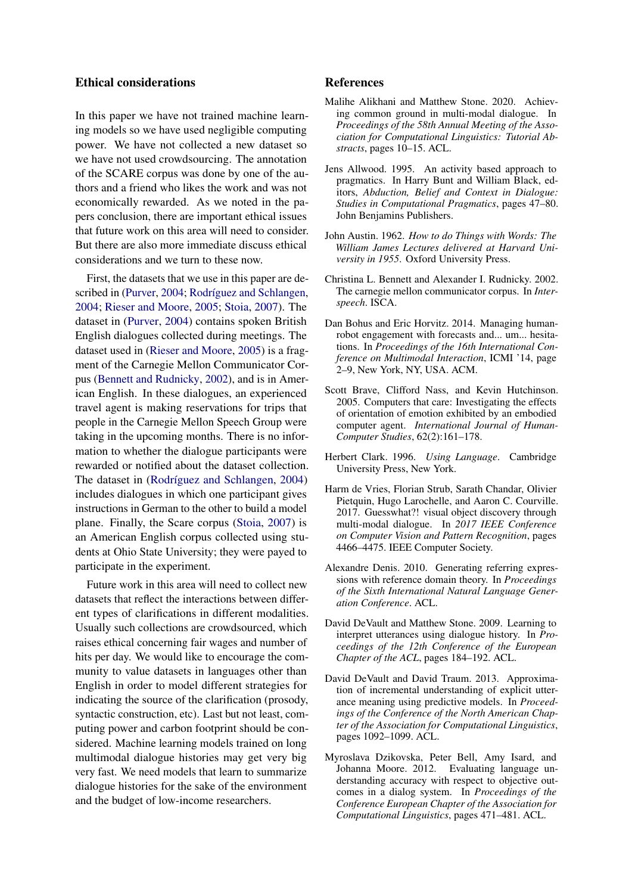### Ethical considerations

In this paper we have not trained machine learning models so we have used negligible computing power. We have not collected a new dataset so we have not used crowdsourcing. The annotation of the SCARE corpus was done by one of the authors and a friend who likes the work and was not economically rewarded. As we noted in the papers conclusion, there are important ethical issues that future work on this area will need to consider. But there are also more immediate discuss ethical considerations and we turn to these now.

First, the datasets that we use in this paper are described in [\(Purver,](#page-10-12) [2004;](#page-10-12) [Rodríguez and Schlangen,](#page-10-13) [2004;](#page-10-13) [Rieser and Moore,](#page-10-14) [2005;](#page-10-14) [Stoia,](#page-11-11) [2007\)](#page-11-11). The dataset in [\(Purver,](#page-10-12) [2004\)](#page-10-12) contains spoken British English dialogues collected during meetings. The dataset used in [\(Rieser and Moore,](#page-10-14) [2005\)](#page-10-14) is a fragment of the Carnegie Mellon Communicator Corpus [\(Bennett and Rudnicky,](#page-9-11) [2002\)](#page-9-11), and is in American English. In these dialogues, an experienced travel agent is making reservations for trips that people in the Carnegie Mellon Speech Group were taking in the upcoming months. There is no information to whether the dialogue participants were rewarded or notified about the dataset collection. The dataset in [\(Rodríguez and Schlangen,](#page-10-13) [2004\)](#page-10-13) includes dialogues in which one participant gives instructions in German to the other to build a model plane. Finally, the Scare corpus [\(Stoia,](#page-11-11) [2007\)](#page-11-11) is an American English corpus collected using students at Ohio State University; they were payed to participate in the experiment.

Future work in this area will need to collect new datasets that reflect the interactions between different types of clarifications in different modalities. Usually such collections are crowdsourced, which raises ethical concerning fair wages and number of hits per day. We would like to encourage the community to value datasets in languages other than English in order to model different strategies for indicating the source of the clarification (prosody, syntactic construction, etc). Last but not least, computing power and carbon footprint should be considered. Machine learning models trained on long multimodal dialogue histories may get very big very fast. We need models that learn to summarize dialogue histories for the sake of the environment and the budget of low-income researchers.

#### References

- <span id="page-9-2"></span>Malihe Alikhani and Matthew Stone. 2020. Achieving common ground in multi-modal dialogue. In *Proceedings of the 58th Annual Meeting of the Association for Computational Linguistics: Tutorial Abstracts*, pages 10–15. ACL.
- <span id="page-9-8"></span>Jens Allwood. 1995. An activity based approach to pragmatics. In Harry Bunt and William Black, editors, *Abduction, Belief and Context in Dialogue: Studies in Computational Pragmatics*, pages 47–80. John Benjamins Publishers.
- <span id="page-9-9"></span>John Austin. 1962. *How to do Things with Words: The William James Lectures delivered at Harvard University in 1955*. Oxford University Press.
- <span id="page-9-11"></span>Christina L. Bennett and Alexander I. Rudnicky. 2002. The carnegie mellon communicator corpus. In *Interspeech*. ISCA.
- <span id="page-9-3"></span>Dan Bohus and Eric Horvitz. 2014. Managing humanrobot engagement with forecasts and... um... hesitations. In *Proceedings of the 16th International Conference on Multimodal Interaction*, ICMI '14, page 2–9, New York, NY, USA. ACM.
- <span id="page-9-10"></span>Scott Brave, Clifford Nass, and Kevin Hutchinson. 2005. Computers that care: Investigating the effects of orientation of emotion exhibited by an embodied computer agent. *International Journal of Human-Computer Studies*, 62(2):161–178.
- <span id="page-9-1"></span>Herbert Clark. 1996. *Using Language*. Cambridge University Press, New York.
- <span id="page-9-0"></span>Harm de Vries, Florian Strub, Sarath Chandar, Olivier Pietquin, Hugo Larochelle, and Aaron C. Courville. 2017. Guesswhat?! visual object discovery through multi-modal dialogue. In *2017 IEEE Conference on Computer Vision and Pattern Recognition*, pages 4466–4475. IEEE Computer Society.
- <span id="page-9-6"></span>Alexandre Denis. 2010. Generating referring expressions with reference domain theory. In *Proceedings of the Sixth International Natural Language Generation Conference*. ACL.
- <span id="page-9-5"></span>David DeVault and Matthew Stone. 2009. Learning to interpret utterances using dialogue history. In *Proceedings of the 12th Conference of the European Chapter of the ACL*, pages 184–192. ACL.
- <span id="page-9-4"></span>David DeVault and David Traum. 2013. Approximation of incremental understanding of explicit utterance meaning using predictive models. In *Proceedings of the Conference of the North American Chapter of the Association for Computational Linguistics*, pages 1092–1099. ACL.
- <span id="page-9-7"></span>Myroslava Dzikovska, Peter Bell, Amy Isard, and Johanna Moore. 2012. Evaluating language understanding accuracy with respect to objective outcomes in a dialog system. In *Proceedings of the Conference European Chapter of the Association for Computational Linguistics*, pages 471–481. ACL.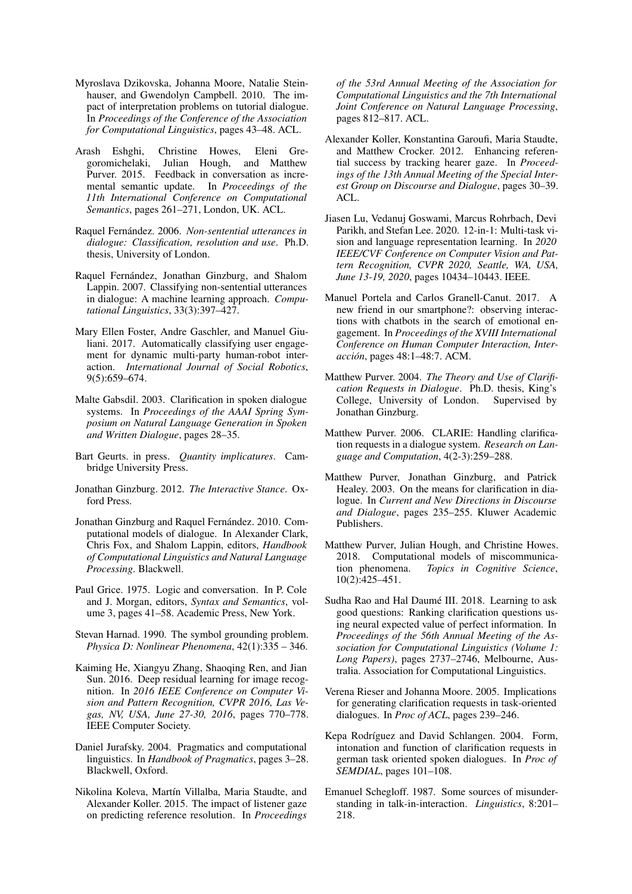- <span id="page-10-10"></span>Myroslava Dzikovska, Johanna Moore, Natalie Steinhauser, and Gwendolyn Campbell. 2010. The impact of interpretation problems on tutorial dialogue. In *Proceedings of the Conference of the Association for Computational Linguistics*, pages 43–48. ACL.
- <span id="page-10-8"></span>Arash Eshghi, Christine Howes, Eleni Gregoromichelaki, Julian Hough, and Matthew Purver. 2015. Feedback in conversation as incremental semantic update. In *Proceedings of the 11th International Conference on Computational Semantics*, pages 261–271, London, UK. ACL.
- <span id="page-10-18"></span>Raquel Fernández. 2006. *Non-sentential utterances in dialogue: Classification, resolution and use*. Ph.D. thesis, University of London.
- <span id="page-10-19"></span>Raquel Fernández, Jonathan Ginzburg, and Shalom Lappin. 2007. Classifying non-sentential utterances in dialogue: A machine learning approach. *Computational Linguistics*, 33(3):397–427.
- <span id="page-10-7"></span>Mary Ellen Foster, Andre Gaschler, and Manuel Giuliani. 2017. Automatically classifying user engagement for dynamic multi-party human-robot interaction. *International Journal of Social Robotics*, 9(5):659–674.
- <span id="page-10-11"></span>Malte Gabsdil. 2003. Clarification in spoken dialogue systems. In *Proceedings of the AAAI Spring Symposium on Natural Language Generation in Spoken and Written Dialogue*, pages 28–35.
- <span id="page-10-24"></span>Bart Geurts. in press. *Quantity implicatures*. Cambridge University Press.
- <span id="page-10-0"></span>Jonathan Ginzburg. 2012. *The Interactive Stance*. Oxford Press.
- <span id="page-10-9"></span>Jonathan Ginzburg and Raquel Fernández. 2010. Computational models of dialogue. In Alexander Clark, Chris Fox, and Shalom Lappin, editors, *Handbook of Computational Linguistics and Natural Language Processing*. Blackwell.
- <span id="page-10-22"></span>Paul Grice. 1975. Logic and conversation. In P. Cole and J. Morgan, editors, *Syntax and Semantics*, volume 3, pages 41–58. Academic Press, New York.
- <span id="page-10-2"></span>Stevan Harnad. 1990. The symbol grounding problem. *Physica D: Nonlinear Phenomena*, 42(1):335 – 346.
- <span id="page-10-3"></span>Kaiming He, Xiangyu Zhang, Shaoqing Ren, and Jian Sun. 2016. Deep residual learning for image recognition. In *2016 IEEE Conference on Computer Vision and Pattern Recognition, CVPR 2016, Las Vegas, NV, USA, June 27-30, 2016*, pages 770–778. IEEE Computer Society.
- <span id="page-10-17"></span>Daniel Jurafsky. 2004. Pragmatics and computational linguistics. In *Handbook of Pragmatics*, pages 3–28. Blackwell, Oxford.
- <span id="page-10-6"></span>Nikolina Koleva, Martín Villalba, Maria Staudte, and Alexander Koller. 2015. The impact of listener gaze on predicting reference resolution. In *Proceedings*

*of the 53rd Annual Meeting of the Association for Computational Linguistics and the 7th International Joint Conference on Natural Language Processing*, pages 812–817. ACL.

- <span id="page-10-5"></span>Alexander Koller, Konstantina Garoufi, Maria Staudte, and Matthew Crocker. 2012. Enhancing referential success by tracking hearer gaze. In *Proceedings of the 13th Annual Meeting of the Special Interest Group on Discourse and Dialogue*, pages 30–39. ACL.
- <span id="page-10-4"></span>Jiasen Lu, Vedanuj Goswami, Marcus Rohrbach, Devi Parikh, and Stefan Lee. 2020. 12-in-1: Multi-task vision and language representation learning. In *2020 IEEE/CVF Conference on Computer Vision and Pattern Recognition, CVPR 2020, Seattle, WA, USA, June 13-19, 2020*, pages 10434–10443. IEEE.
- <span id="page-10-23"></span>Manuel Portela and Carlos Granell-Canut. 2017. A new friend in our smartphone?: observing interactions with chatbots in the search of emotional engagement. In *Proceedings of the XVIII International Conference on Human Computer Interaction, Interacción*, pages 48:1–48:7. ACM.
- <span id="page-10-12"></span>Matthew Purver. 2004. *The Theory and Use of Clarification Requests in Dialogue*. Ph.D. thesis, King's College, University of London. Supervised by Jonathan Ginzburg.
- <span id="page-10-21"></span>Matthew Purver. 2006. CLARIE: Handling clarification requests in a dialogue system. *Research on Language and Computation*, 4(2-3):259–288.
- <span id="page-10-20"></span>Matthew Purver, Jonathan Ginzburg, and Patrick Healey. 2003. On the means for clarification in dialogue. In *Current and New Directions in Discourse and Dialogue*, pages 235–255. Kluwer Academic Publishers.
- <span id="page-10-1"></span>Matthew Purver, Julian Hough, and Christine Howes. 2018. Computational models of miscommunication phenomena. *Topics in Cognitive Science*, 10(2):425–451.
- <span id="page-10-16"></span>Sudha Rao and Hal Daumé III. 2018. Learning to ask good questions: Ranking clarification questions using neural expected value of perfect information. In *Proceedings of the 56th Annual Meeting of the Association for Computational Linguistics (Volume 1: Long Papers)*, pages 2737–2746, Melbourne, Australia. Association for Computational Linguistics.
- <span id="page-10-14"></span>Verena Rieser and Johanna Moore. 2005. Implications for generating clarification requests in task-oriented dialogues. In *Proc of ACL*, pages 239–246.
- <span id="page-10-13"></span>Kepa Rodríguez and David Schlangen. 2004. Form, intonation and function of clarification requests in german task oriented spoken dialogues. In *Proc of SEMDIAL*, pages 101–108.
- <span id="page-10-15"></span>Emanuel Schegloff. 1987. Some sources of misunderstanding in talk-in-interaction. *Linguistics*, 8:201– 218.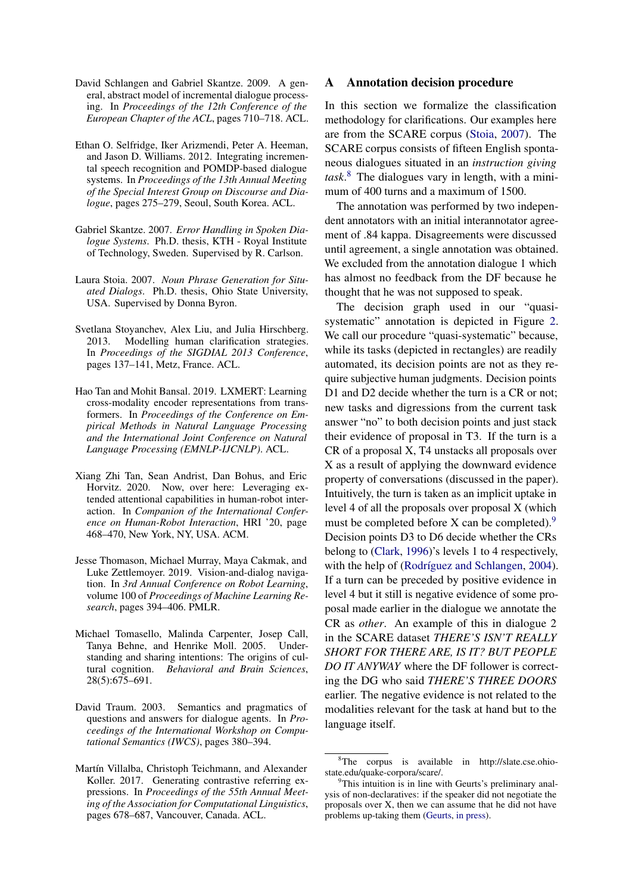- <span id="page-11-4"></span>David Schlangen and Gabriel Skantze. 2009. A general, abstract model of incremental dialogue processing. In *Proceedings of the 12th Conference of the European Chapter of the ACL*, pages 710–718. ACL.
- <span id="page-11-5"></span>Ethan O. Selfridge, Iker Arizmendi, Peter A. Heeman, and Jason D. Williams. 2012. Integrating incremental speech recognition and POMDP-based dialogue systems. In *Proceedings of the 13th Annual Meeting of the Special Interest Group on Discourse and Dialogue*, pages 275–279, Seoul, South Korea. ACL.
- <span id="page-11-7"></span>Gabriel Skantze. 2007. *Error Handling in Spoken Dialogue Systems*. Ph.D. thesis, KTH - Royal Institute of Technology, Sweden. Supervised by R. Carlson.
- <span id="page-11-11"></span>Laura Stoia. 2007. *Noun Phrase Generation for Situated Dialogs*. Ph.D. thesis, Ohio State University, USA. Supervised by Donna Byron.
- <span id="page-11-8"></span>Svetlana Stoyanchev, Alex Liu, and Julia Hirschberg. 2013. Modelling human clarification strategies. In *Proceedings of the SIGDIAL 2013 Conference*, pages 137–141, Metz, France. ACL.
- <span id="page-11-2"></span>Hao Tan and Mohit Bansal. 2019. LXMERT: Learning cross-modality encoder representations from transformers. In *Proceedings of the Conference on Empirical Methods in Natural Language Processing and the International Joint Conference on Natural Language Processing (EMNLP-IJCNLP)*. ACL.
- <span id="page-11-3"></span>Xiang Zhi Tan, Sean Andrist, Dan Bohus, and Eric Horvitz. 2020. Now, over here: Leveraging extended attentional capabilities in human-robot interaction. In *Companion of the International Conference on Human-Robot Interaction*, HRI '20, page 468–470, New York, NY, USA. ACM.
- <span id="page-11-0"></span>Jesse Thomason, Michael Murray, Maya Cakmak, and Luke Zettlemoyer. 2019. Vision-and-dialog navigation. In *3rd Annual Conference on Robot Learning*, volume 100 of *Proceedings of Machine Learning Research*, pages 394–406. PMLR.
- <span id="page-11-9"></span>Michael Tomasello, Malinda Carpenter, Josep Call, Tanya Behne, and Henrike Moll. 2005. Understanding and sharing intentions: The origins of cultural cognition. *Behavioral and Brain Sciences*, 28(5):675–691.
- <span id="page-11-10"></span>David Traum. 2003. Semantics and pragmatics of questions and answers for dialogue agents. In *Proceedings of the International Workshop on Computational Semantics (IWCS)*, pages 380–394.
- <span id="page-11-6"></span>Martín Villalba, Christoph Teichmann, and Alexander Koller. 2017. Generating contrastive referring expressions. In *Proceedings of the 55th Annual Meeting of the Association for Computational Linguistics*, pages 678–687, Vancouver, Canada. ACL.

## <span id="page-11-1"></span>A Annotation decision procedure

In this section we formalize the classification methodology for clarifications. Our examples here are from the SCARE corpus [\(Stoia,](#page-11-11) [2007\)](#page-11-11). The SCARE corpus consists of fifteen English spontaneous dialogues situated in an *instruction giving task*. [8](#page-11-12) The dialogues vary in length, with a minimum of 400 turns and a maximum of 1500.

The annotation was performed by two independent annotators with an initial interannotator agreement of .84 kappa. Disagreements were discussed until agreement, a single annotation was obtained. We excluded from the annotation dialogue 1 which has almost no feedback from the DF because he thought that he was not supposed to speak.

The decision graph used in our "quasisystematic" annotation is depicted in Figure [2.](#page-12-0) We call our procedure "quasi-systematic" because, while its tasks (depicted in rectangles) are readily automated, its decision points are not as they require subjective human judgments. Decision points D1 and D2 decide whether the turn is a CR or not; new tasks and digressions from the current task answer "no" to both decision points and just stack their evidence of proposal in T3. If the turn is a CR of a proposal X, T4 unstacks all proposals over X as a result of applying the downward evidence property of conversations (discussed in the paper). Intuitively, the turn is taken as an implicit uptake in level 4 of all the proposals over proposal X (which must be completed before X can be completed). $9$ Decision points D3 to D6 decide whether the CRs belong to [\(Clark,](#page-9-1) [1996\)](#page-9-1)'s levels 1 to 4 respectively, with the help of [\(Rodríguez and Schlangen,](#page-10-13) [2004\)](#page-10-13). If a turn can be preceded by positive evidence in level 4 but it still is negative evidence of some proposal made earlier in the dialogue we annotate the CR as *other*. An example of this in dialogue 2 in the SCARE dataset *THERE'S ISN'T REALLY SHORT FOR THERE ARE, IS IT? BUT PEOPLE DO IT ANYWAY* where the DF follower is correcting the DG who said *THERE'S THREE DOORS* earlier. The negative evidence is not related to the modalities relevant for the task at hand but to the language itself.

<span id="page-11-12"></span><sup>8</sup>The corpus is available in http://slate.cse.ohiostate.edu/quake-corpora/scare/.

<span id="page-11-13"></span><sup>&</sup>lt;sup>9</sup>This intuition is in line with Geurts's preliminary analysis of non-declaratives: if the speaker did not negotiate the proposals over X, then we can assume that he did not have problems up-taking them [\(Geurts,](#page-10-24) [in press\)](#page-10-24).